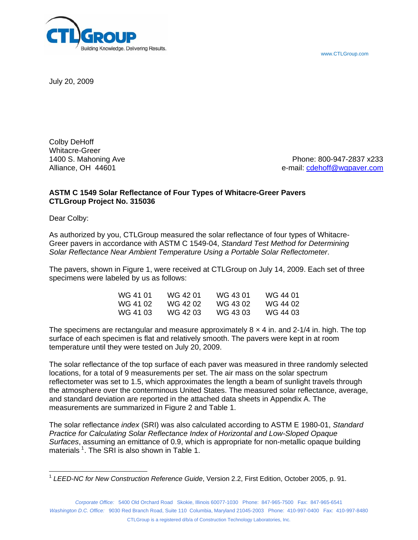www.CTLGroup.com



July 20, 2009

Colby DeHoff Whitacre-Greer

1400 S. Mahoning Ave Phone: 800-947-2837 x233 Alliance, OH 44601 e-mail: [cdehoff@wgpaver.com](mailto:cdehoff@wgpaver.com) 

## **ASTM C 1549 Solar Reflectance of Four Types of Whitacre-Greer Pavers CTLGroup Project No. 315036**

Dear Colby:

As authorized by you, CTLGroup measured the solar reflectance of four types of Whitacre-Greer pavers in accordance with ASTM C 1549-04, *Standard Test Method for Determining Solar Reflectance Near Ambient Temperature Using a Portable Solar Reflectometer*.

The pavers, shown in Figure 1, were received at CTLGroup on July 14, 2009. Each set of three specimens were labeled by us as follows:

| WG 41 01 | WG 42 01 | WG 43 01 | WG 44 01 |
|----------|----------|----------|----------|
| WG 41 02 | WG 42 02 | WG 43 02 | WG 44 02 |
| WG 41 03 | WG 42 03 | WG 43 03 | WG 44 03 |

The specimens are rectangular and measure approximately  $8 \times 4$  in. and 2-1/4 in. high. The top surface of each specimen is flat and relatively smooth. The pavers were kept in at room temperature until they were tested on July 20, 2009.

The solar reflectance of the top surface of each paver was measured in three randomly selected locations, for a total of 9 measurements per set. The air mass on the solar spectrum reflectometer was set to 1.5, which approximates the length a beam of sunlight travels through the atmosphere over the conterminous United States. The measured solar reflectance, average, and standard deviation are reported in the attached data sheets in Appendix A. The measurements are summarized in Figure 2 and Table 1.

The solar reflectance *index* (SRI) was also calculated according to ASTM E 1980-01, *Standard Practice for Calculating Solar Reflectance Index of Horizontal and Low-Sloped Opaque Surfaces*, assuming an emittance of 0.9, which is appropriate for non-metallic opaque building materials  $^1$  $^1$ . The SRI is also shown in Table 1.

*Corporate Office:* 5400 Old Orchard Road Skokie, Illinois 60077-1030 Phone: 847-965-7500 Fax: 847-965-6541 *Washington D.C. Office:* 9030 Red Branch Road, Suite 110 Columbia, Maryland 21045-2003 Phone: 410-997-0400 Fax: 410-997-8480

<span id="page-0-0"></span> <sup>1</sup> *LEED-NC for New Construction Reference Guide*, Version 2.2, First Edition, October 2005, p. 91.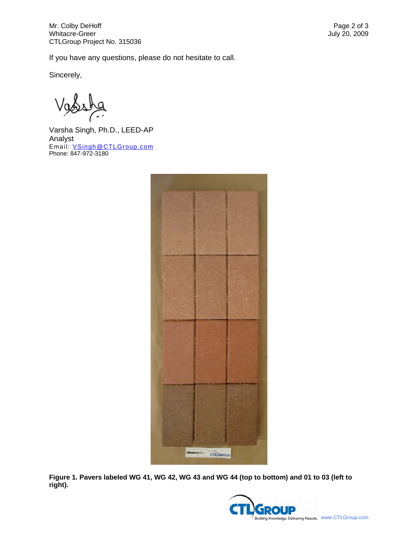If you have any questions, please do not hesitate to call.

Sincerely,

Varsha Singh, Ph.D., LEED-AP Analyst Email: [VSingh@CTLGroup.com](mailto:VSingh@CTLGroup.com) Phone: 847-972-3180



**Figure 1. Pavers labeled WG 41, WG 42, WG 43 and WG 44 (top to bottom) and 01 to 03 (left to right).** 

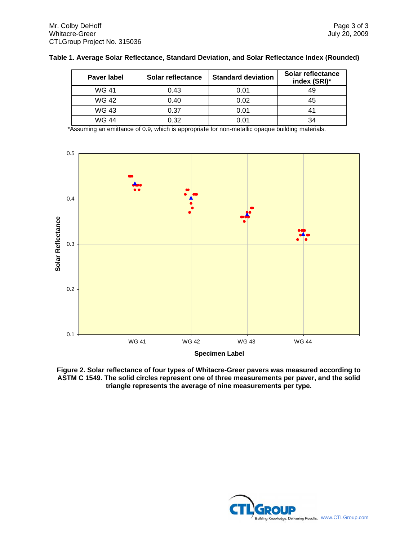| <b>Paver label</b> | Solar reflectance | <b>Standard deviation</b> | Solar reflectance<br>index (SRI)* |
|--------------------|-------------------|---------------------------|-----------------------------------|
| WG 41              | 0.43              | 0.01                      | 49                                |
| WG 42              | 0.40              | 0.02                      | 45                                |
| WG 43              | 0.37              | 0.01                      | 41                                |
| WG 44              | 0.32              | 0.01                      | 34                                |

| Table 1. Average Solar Reflectance, Standard Deviation, and Solar Reflectance Index (Rounded) |  |
|-----------------------------------------------------------------------------------------------|--|
|-----------------------------------------------------------------------------------------------|--|

\*Assuming an emittance of 0.9, which is appropriate for non-metallic opaque building materials.



**Figure 2. Solar reflectance of four types of Whitacre-Greer pavers was measured according to ASTM C 1549. The solid circles represent one of three measurements per paver, and the solid triangle represents the average of nine measurements per type.**

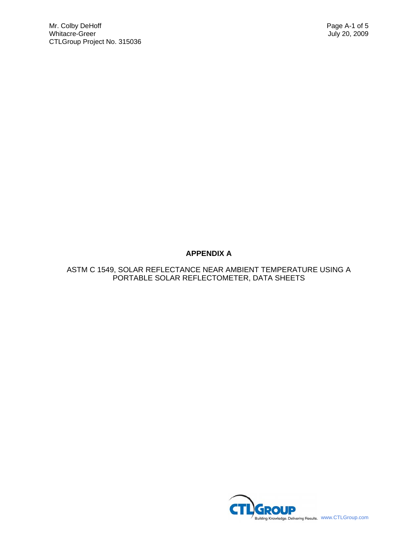# **APPENDIX A**

ASTM C 1549, SOLAR REFLECTANCE NEAR AMBIENT TEMPERATURE USING A PORTABLE SOLAR REFLECTOMETER, DATA SHEETS

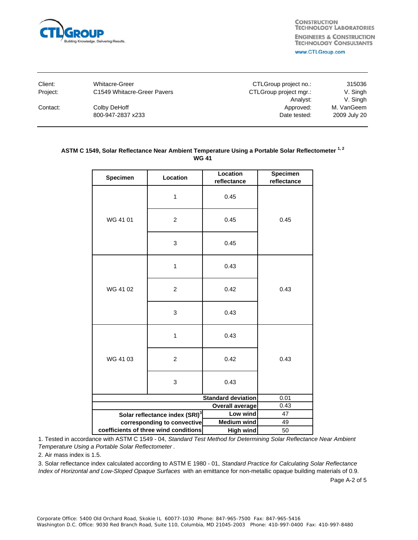

| Client:  | <b>Whitacre-Greer</b>       | CTLGroup project no.:  | 315036       |
|----------|-----------------------------|------------------------|--------------|
| Project: | C1549 Whitacre-Greer Pavers | CTLGroup project mgr.: | V. Singh     |
|          |                             | Analyst:               | V. Singh     |
| Contact: | Colby DeHoff                | Approved:              | M. VanGeem   |
|          | 800-947-2837 x233           | Date tested:           | 2009 July 20 |

### ASTM C 1549, Solar Reflectance Near Ambient Temperature Using a Portable Solar Reflectometer<sup>1,2</sup> **WG 41**

| Specimen                                               | Location       | Location<br>reflectance | Specimen<br>reflectance |
|--------------------------------------------------------|----------------|-------------------------|-------------------------|
|                                                        | 1              | 0.45                    |                         |
| WG 41 01                                               | $\overline{c}$ | 0.45                    | 0.45                    |
|                                                        | 3              | 0.45                    |                         |
|                                                        | $\mathbf{1}$   | 0.43                    |                         |
| WG 41 02                                               | 2              | 0.42                    | 0.43                    |
|                                                        | 3              | 0.43                    |                         |
|                                                        | $\mathbf{1}$   | 0.43                    |                         |
| WG 41 03                                               | $\overline{2}$ | 0.42                    | 0.43                    |
|                                                        | 3              | 0.43                    |                         |
| <b>Standard deviation</b>                              |                | 0.01                    |                         |
| <b>Overall average</b>                                 |                | 0.43                    |                         |
| Solar reflectance index (SRI) <sup>3</sup><br>Low wind |                | 47                      |                         |
| corresponding to convective                            |                | <b>Medium wind</b>      | 49                      |
| coefficients of three wind conditions                  |                | <b>High wind</b>        | 50                      |

1. Tested in accordance with ASTM C 1549 - 04, *Standard Test Method for Determining Solar Reflectance Near Ambient Temperature Using a Portable Solar Reflectometer* .

2. Air mass index is 1.5.

3. Solar reflectance index calculated according to ASTM E 1980 - 01, *Standard Practice for Calculating Solar Reflectance Index of Horizontal and Low-Sloped Opaque Surfaces* with an emittance for non-metallic opaque building materials of 0.9.

Page A-2 of 5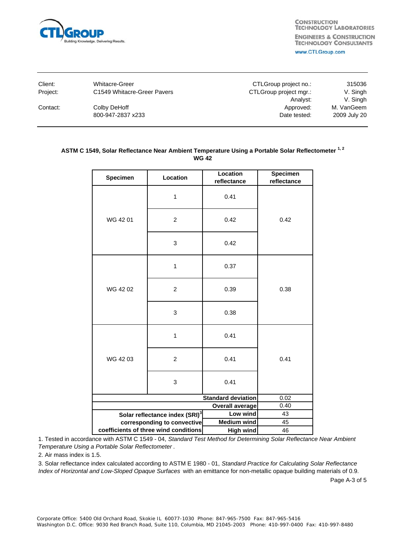

| Client:  | <b>Whitacre-Greer</b>       | CTLGroup project no.:  | 315036       |
|----------|-----------------------------|------------------------|--------------|
| Proiect: | C1549 Whitacre-Greer Pavers | CTLGroup project mgr.: | V. Singh     |
|          |                             | Analyst:               | V. Singh     |
| Contact: | Colby DeHoff                | Approved:              | M. VanGeem   |
|          | 800-947-2837 x233           | Date tested:           | 2009 July 20 |
|          |                             |                        |              |

### ASTM C 1549, Solar Reflectance Near Ambient Temperature Using a Portable Solar Reflectometer<sup>1,2</sup> **WG 42**

| Specimen                                                  | Location       | Location<br>reflectance | Specimen<br>reflectance |
|-----------------------------------------------------------|----------------|-------------------------|-------------------------|
|                                                           | 1              | 0.41                    |                         |
| WG 4201                                                   | $\overline{c}$ | 0.42                    | 0.42                    |
|                                                           | 3              | 0.42                    |                         |
|                                                           | $\mathbf{1}$   | 0.37                    |                         |
| WG 42 02                                                  | $\overline{2}$ | 0.39                    | 0.38                    |
|                                                           | 3              | 0.38                    |                         |
|                                                           | 1              | 0.41                    |                         |
| WG 4203                                                   | 2              | 0.41                    | 0.41                    |
|                                                           | 3              | 0.41                    |                         |
| <b>Standard deviation</b>                                 |                | 0.02                    |                         |
| <b>Overall average</b>                                    |                | 0.40                    |                         |
| Solar reflectance index (SRI) <sup>3</sup><br>Low wind    |                | 43                      |                         |
| <b>Medium wind</b><br>corresponding to convective         |                | 45                      |                         |
| coefficients of three wind conditions<br><b>High wind</b> |                |                         | 46                      |

1. Tested in accordance with ASTM C 1549 - 04, *Standard Test Method for Determining Solar Reflectance Near Ambient Temperature Using a Portable Solar Reflectometer* .

2. Air mass index is 1.5.

3. Solar reflectance index calculated according to ASTM E 1980 - 01, *Standard Practice for Calculating Solar Reflectance Index of Horizontal and Low-Sloped Opaque Surfaces* with an emittance for non-metallic opaque building materials of 0.9.

Page A-3 of 5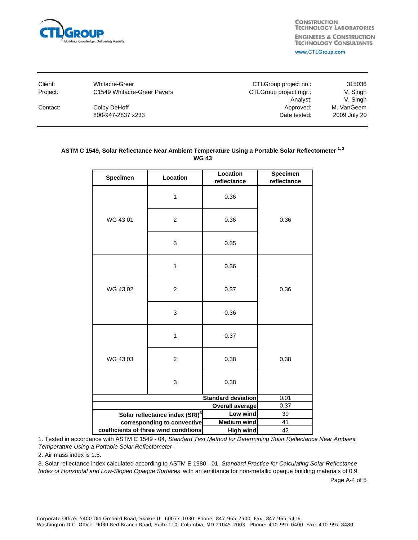

| Client:  | <b>Whitacre-Greer</b>       | CTLGroup project no.:  | 315036       |
|----------|-----------------------------|------------------------|--------------|
| Project: | C1549 Whitacre-Greer Pavers | CTLGroup project mgr.: | V. Singh     |
|          |                             | Analyst:               | V. Singh     |
| Contact: | Colby DeHoff                | Approved:              | M. VanGeem   |
|          | 800-947-2837 x233           | Date tested:           | 2009 July 20 |

### ASTM C 1549, Solar Reflectance Near Ambient Temperature Using a Portable Solar Reflectometer<sup>1,2</sup> **WG 43**

| Specimen                                               | Location       | Location<br>reflectance | Specimen<br>reflectance |
|--------------------------------------------------------|----------------|-------------------------|-------------------------|
|                                                        | $\mathbf{1}$   | 0.36                    |                         |
| WG 43 01                                               | $\overline{c}$ | 0.36                    | 0.36                    |
|                                                        | 3              | 0.35                    |                         |
|                                                        | 1              | 0.36                    |                         |
| WG 43 02                                               | $\overline{2}$ | 0.37                    | 0.36                    |
|                                                        | 3              | 0.36                    |                         |
|                                                        | $\mathbf{1}$   | 0.37                    |                         |
| WG 4303                                                | 2              | 0.38                    | 0.38                    |
|                                                        | 3              | 0.38                    |                         |
| <b>Standard deviation</b>                              |                | 0.01                    |                         |
| <b>Overall average</b>                                 |                | 0.37                    |                         |
| Solar reflectance index (SRI) <sup>3</sup><br>Low wind |                | 39                      |                         |
| corresponding to convective                            |                | <b>Medium wind</b>      | 41                      |
| coefficients of three wind conditions                  |                | <b>High wind</b>        | 42                      |

1. Tested in accordance with ASTM C 1549 - 04, *Standard Test Method for Determining Solar Reflectance Near Ambient Temperature Using a Portable Solar Reflectometer* .

2. Air mass index is 1.5.

3. Solar reflectance index calculated according to ASTM E 1980 - 01, *Standard Practice for Calculating Solar Reflectance Index of Horizontal and Low-Sloped Opaque Surfaces* with an emittance for non-metallic opaque building materials of 0.9.

Page A-4 of 5